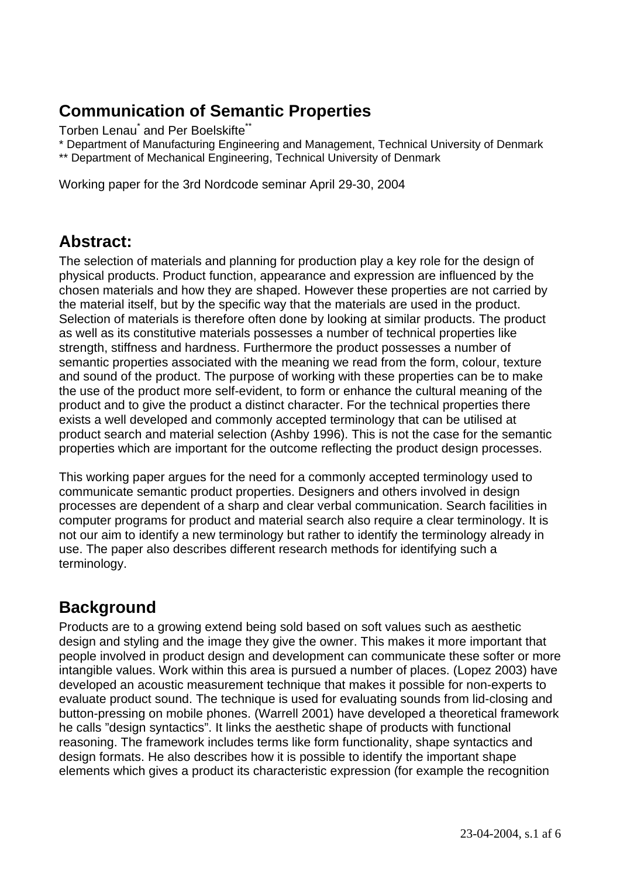## **Communication of Semantic Properties**

Torben Lenau<sup>\*</sup> and Per Boelskifte<sup>\*\*</sup>

\* Department of Manufacturing Engineering and Management, Technical University of Denmark

\*\* Department of Mechanical Engineering, Technical University of Denmark

Working paper for the 3rd Nordcode seminar April 29-30, 2004

## **Abstract:**

The selection of materials and planning for production play a key role for the design of physical products. Product function, appearance and expression are influenced by the chosen materials and how they are shaped. However these properties are not carried by the material itself, but by the specific way that the materials are used in the product. Selection of materials is therefore often done by looking at similar products. The product as well as its constitutive materials possesses a number of technical properties like strength, stiffness and hardness. Furthermore the product possesses a number of semantic properties associated with the meaning we read from the form, colour, texture and sound of the product. The purpose of working with these properties can be to make the use of the product more self-evident, to form or enhance the cultural meaning of the product and to give the product a distinct character. For the technical properties there exists a well developed and commonly accepted terminology that can be utilised at product search and material selection (Ashby 1996). This is not the case for the semantic properties which are important for the outcome reflecting the product design processes.

This working paper argues for the need for a commonly accepted terminology used to communicate semantic product properties. Designers and others involved in design processes are dependent of a sharp and clear verbal communication. Search facilities in computer programs for product and material search also require a clear terminology. It is not our aim to identify a new terminology but rather to identify the terminology already in use. The paper also describes different research methods for identifying such a terminology.

# **Background**

Products are to a growing extend being sold based on soft values such as aesthetic design and styling and the image they give the owner. This makes it more important that people involved in product design and development can communicate these softer or more intangible values. Work within this area is pursued a number of places. (Lopez 2003) have developed an acoustic measurement technique that makes it possible for non-experts to evaluate product sound. The technique is used for evaluating sounds from lid-closing and button-pressing on mobile phones. (Warrell 2001) have developed a theoretical framework he calls "design syntactics". It links the aesthetic shape of products with functional reasoning. The framework includes terms like form functionality, shape syntactics and design formats. He also describes how it is possible to identify the important shape elements which gives a product its characteristic expression (for example the recognition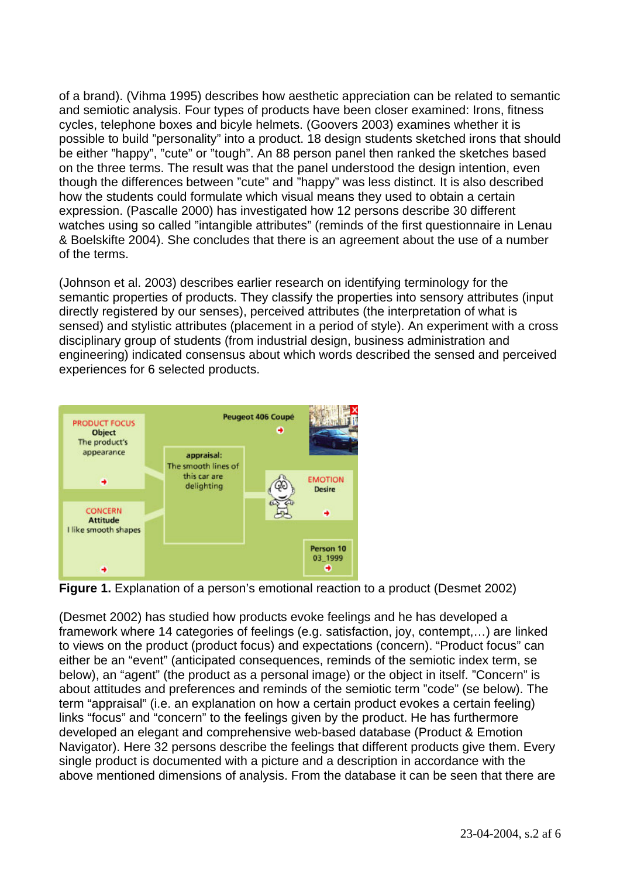of a brand). (Vihma 1995) describes how aesthetic appreciation can be related to semantic and semiotic analysis. Four types of products have been closer examined: Irons, fitness cycles, telephone boxes and bicyle helmets. (Goovers 2003) examines whether it is possible to build "personality" into a product. 18 design students sketched irons that should be either "happy", "cute" or "tough". An 88 person panel then ranked the sketches based on the three terms. The result was that the panel understood the design intention, even though the differences between "cute" and "happy" was less distinct. It is also described how the students could formulate which visual means they used to obtain a certain expression. (Pascalle 2000) has investigated how 12 persons describe 30 different watches using so called "intangible attributes" (reminds of the first questionnaire in Lenau & Boelskifte 2004). She concludes that there is an agreement about the use of a number of the terms.

(Johnson et al. 2003) describes earlier research on identifying terminology for the semantic properties of products. They classify the properties into sensory attributes (input directly registered by our senses), perceived attributes (the interpretation of what is sensed) and stylistic attributes (placement in a period of style). An experiment with a cross disciplinary group of students (from industrial design, business administration and engineering) indicated consensus about which words described the sensed and perceived experiences for 6 selected products.



**Figure 1.** Explanation of a person's emotional reaction to a product (Desmet 2002)

(Desmet 2002) has studied how products evoke feelings and he has developed a framework where 14 categories of feelings (e.g. satisfaction, joy, contempt,…) are linked to views on the product (product focus) and expectations (concern). "Product focus" can either be an "event" (anticipated consequences, reminds of the semiotic index term, se below), an "agent" (the product as a personal image) or the object in itself. "Concern" is about attitudes and preferences and reminds of the semiotic term "code" (se below). The term "appraisal" (i.e. an explanation on how a certain product evokes a certain feeling) links "focus" and "concern" to the feelings given by the product. He has furthermore developed an elegant and comprehensive web-based database (Product & Emotion Navigator). Here 32 persons describe the feelings that different products give them. Every single product is documented with a picture and a description in accordance with the above mentioned dimensions of analysis. From the database it can be seen that there are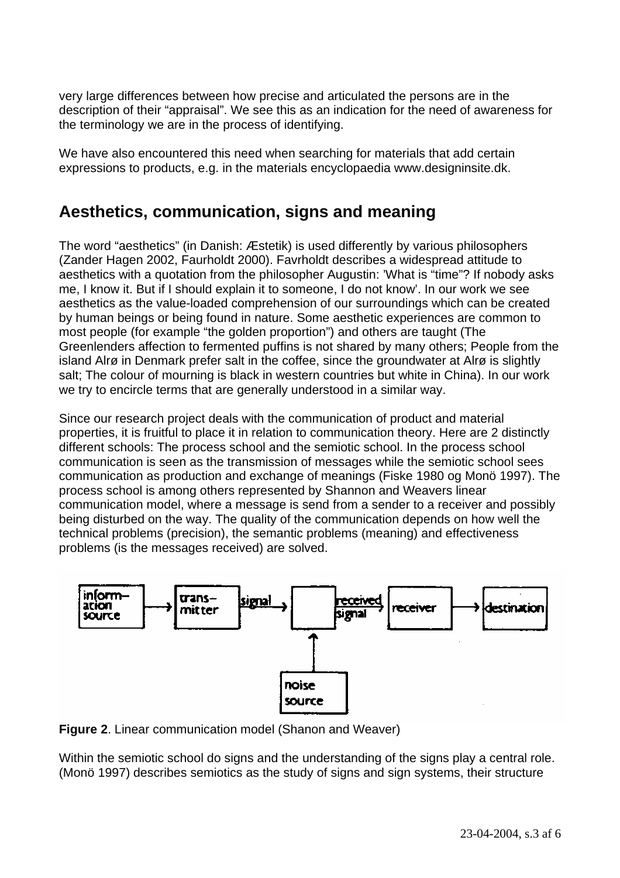very large differences between how precise and articulated the persons are in the description of their "appraisal". We see this as an indication for the need of awareness for the terminology we are in the process of identifying.

We have also encountered this need when searching for materials that add certain expressions to products, e.g. in the materials encyclopaedia www.designinsite.dk.

#### **Aesthetics, communication, signs and meaning**

The word "aesthetics" (in Danish: Æstetik) is used differently by various philosophers (Zander Hagen 2002, Faurholdt 2000). Favrholdt describes a widespread attitude to aesthetics with a quotation from the philosopher Augustin: 'What is "time"? If nobody asks me, I know it. But if I should explain it to someone, I do not know'. In our work we see aesthetics as the value-loaded comprehension of our surroundings which can be created by human beings or being found in nature. Some aesthetic experiences are common to most people (for example "the golden proportion") and others are taught (The Greenlenders affection to fermented puffins is not shared by many others; People from the island Alrø in Denmark prefer salt in the coffee, since the groundwater at Alrø is slightly salt; The colour of mourning is black in western countries but white in China). In our work we try to encircle terms that are generally understood in a similar way.

Since our research project deals with the communication of product and material properties, it is fruitful to place it in relation to communication theory. Here are 2 distinctly different schools: The process school and the semiotic school. In the process school communication is seen as the transmission of messages while the semiotic school sees communication as production and exchange of meanings (Fiske 1980 og Monö 1997). The process school is among others represented by Shannon and Weavers linear communication model, where a message is send from a sender to a receiver and possibly being disturbed on the way. The quality of the communication depends on how well the technical problems (precision), the semantic problems (meaning) and effectiveness problems (is the messages received) are solved.



**Figure 2**. Linear communication model (Shanon and Weaver)

Within the semiotic school do signs and the understanding of the signs play a central role. (Monö 1997) describes semiotics as the study of signs and sign systems, their structure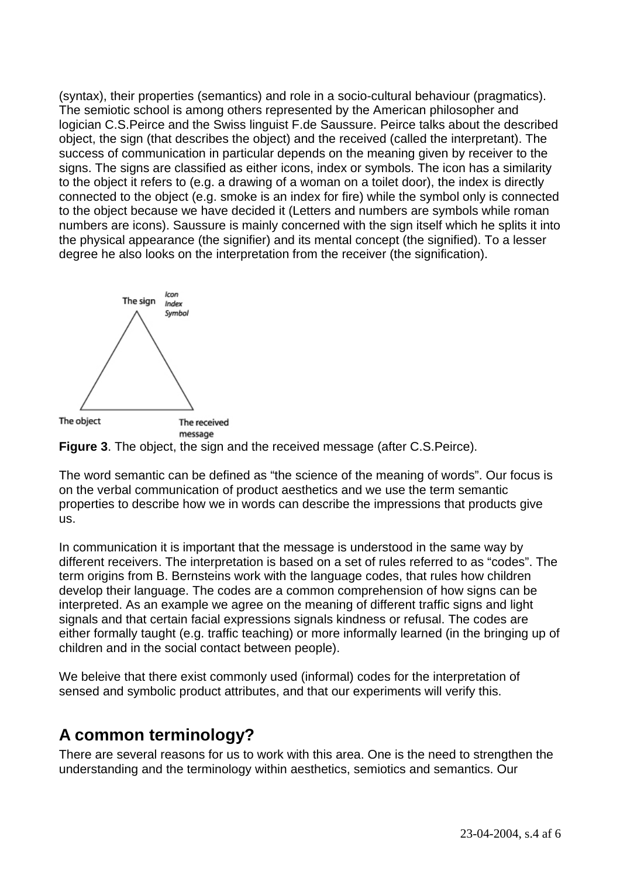(syntax), their properties (semantics) and role in a socio-cultural behaviour (pragmatics). The semiotic school is among others represented by the American philosopher and logician C.S.Peirce and the Swiss linguist F.de Saussure. Peirce talks about the described object, the sign (that describes the object) and the received (called the interpretant). The success of communication in particular depends on the meaning given by receiver to the signs. The signs are classified as either icons, index or symbols. The icon has a similarity to the object it refers to (e.g. a drawing of a woman on a toilet door), the index is directly connected to the object (e.g. smoke is an index for fire) while the symbol only is connected to the object because we have decided it (Letters and numbers are symbols while roman numbers are icons). Saussure is mainly concerned with the sign itself which he splits it into the physical appearance (the signifier) and its mental concept (the signified). To a lesser degree he also looks on the interpretation from the receiver (the signification).



**Figure 3**. The object, the sign and the received message (after C.S.Peirce).

The word semantic can be defined as "the science of the meaning of words". Our focus is on the verbal communication of product aesthetics and we use the term semantic properties to describe how we in words can describe the impressions that products give us.

In communication it is important that the message is understood in the same way by different receivers. The interpretation is based on a set of rules referred to as "codes". The term origins from B. Bernsteins work with the language codes, that rules how children develop their language. The codes are a common comprehension of how signs can be interpreted. As an example we agree on the meaning of different traffic signs and light signals and that certain facial expressions signals kindness or refusal. The codes are either formally taught (e.g. traffic teaching) or more informally learned (in the bringing up of children and in the social contact between people).

We beleive that there exist commonly used (informal) codes for the interpretation of sensed and symbolic product attributes, and that our experiments will verify this.

### **A common terminology?**

There are several reasons for us to work with this area. One is the need to strengthen the understanding and the terminology within aesthetics, semiotics and semantics. Our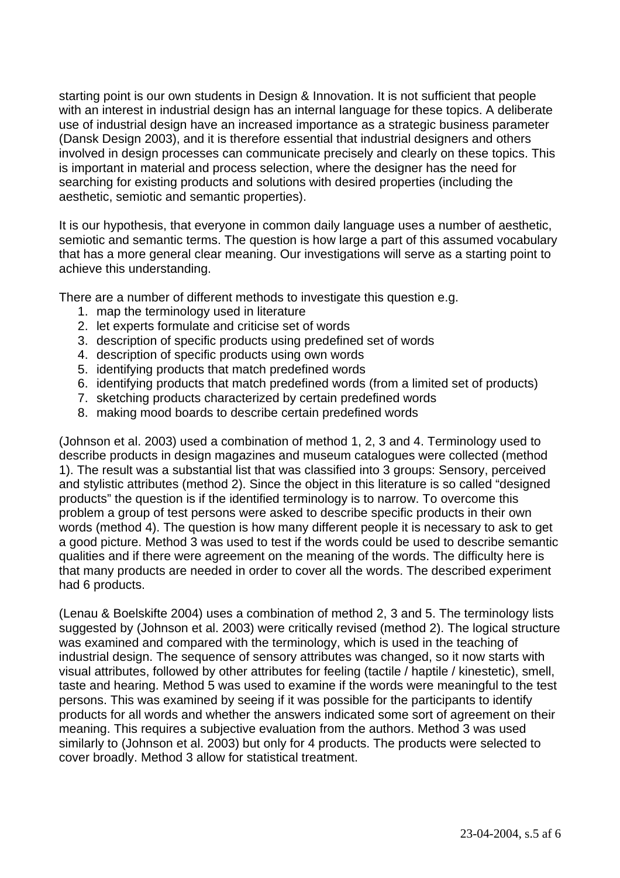starting point is our own students in Design & Innovation. It is not sufficient that people with an interest in industrial design has an internal language for these topics. A deliberate use of industrial design have an increased importance as a strategic business parameter (Dansk Design 2003), and it is therefore essential that industrial designers and others involved in design processes can communicate precisely and clearly on these topics. This is important in material and process selection, where the designer has the need for searching for existing products and solutions with desired properties (including the aesthetic, semiotic and semantic properties).

It is our hypothesis, that everyone in common daily language uses a number of aesthetic, semiotic and semantic terms. The question is how large a part of this assumed vocabulary that has a more general clear meaning. Our investigations will serve as a starting point to achieve this understanding.

There are a number of different methods to investigate this question e.g.

- 1. map the terminology used in literature
- 2. let experts formulate and criticise set of words
- 3. description of specific products using predefined set of words
- 4. description of specific products using own words
- 5. identifying products that match predefined words
- 6. identifying products that match predefined words (from a limited set of products)
- 7. sketching products characterized by certain predefined words
- 8. making mood boards to describe certain predefined words

(Johnson et al. 2003) used a combination of method 1, 2, 3 and 4. Terminology used to describe products in design magazines and museum catalogues were collected (method 1). The result was a substantial list that was classified into 3 groups: Sensory, perceived and stylistic attributes (method 2). Since the object in this literature is so called "designed products" the question is if the identified terminology is to narrow. To overcome this problem a group of test persons were asked to describe specific products in their own words (method 4). The question is how many different people it is necessary to ask to get a good picture. Method 3 was used to test if the words could be used to describe semantic qualities and if there were agreement on the meaning of the words. The difficulty here is that many products are needed in order to cover all the words. The described experiment had 6 products.

(Lenau & Boelskifte 2004) uses a combination of method 2, 3 and 5. The terminology lists suggested by (Johnson et al. 2003) were critically revised (method 2). The logical structure was examined and compared with the terminology, which is used in the teaching of industrial design. The sequence of sensory attributes was changed, so it now starts with visual attributes, followed by other attributes for feeling (tactile / haptile / kinestetic), smell, taste and hearing. Method 5 was used to examine if the words were meaningful to the test persons. This was examined by seeing if it was possible for the participants to identify products for all words and whether the answers indicated some sort of agreement on their meaning. This requires a subjective evaluation from the authors. Method 3 was used similarly to (Johnson et al. 2003) but only for 4 products. The products were selected to cover broadly. Method 3 allow for statistical treatment.